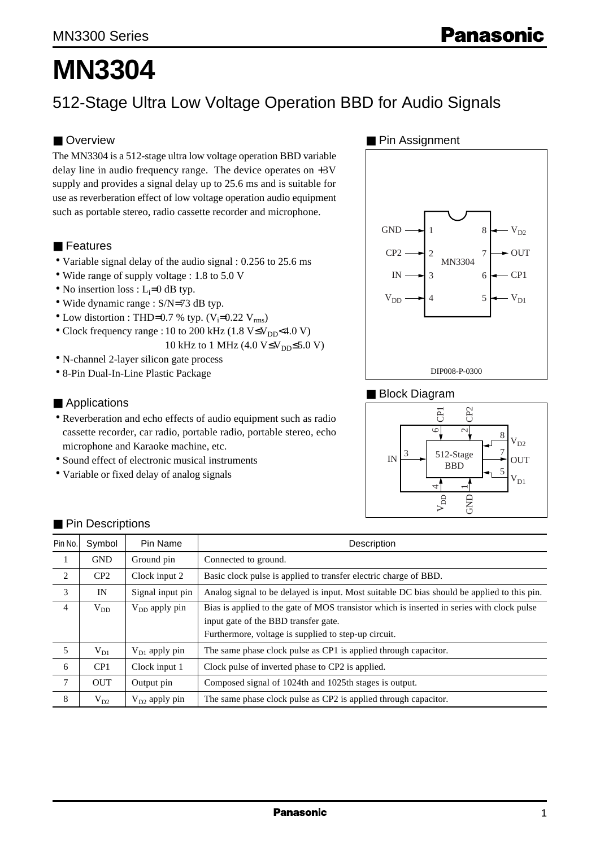# **MN3304**

# 512-Stage Ultra Low Voltage Operation BBD for Audio Signals

## ■ Overview

The MN3304 is a 512-stage ultra low voltage operation BBD variable delay line in audio frequency range. The device operates on +3V supply and provides a signal delay up to 25.6 ms and is suitable for use as reverberation effect of low voltage operation audio equipment such as portable stereo, radio cassette recorder and microphone.

#### ■ Features

- Variable signal delay of the audio signal : 0.256 to 25.6 ms
- Wide range of supply voltage : 1.8 to 5.0 V
- No insertion loss :  $L_i=0$  dB typ.
- Wide dynamic range : S/N=73 dB typ.
- Low distortion : THD=0.7 % typ.  $(V_i=0.22 V_{rms})$
- Clock frequency range : 10 to 200 kHz (1.8 V≤V<sub>DD</sub><4.0 V) 10 kHz to 1 MHz  $(4.0 V \le V_{DD} \le 5.0 V)$
- N-channel 2-layer silicon gate process
- 8-Pin Dual-In-Line Plastic Package

#### ■ Applications

- Reverberation and echo effects of audio equipment such as radio cassette recorder, car radio, portable radio, portable stereo, echo microphone and Karaoke machine, etc.
- Sound effect of electronic musical instruments
- Variable or fixed delay of analog signals

#### ■ Pin Assignment



#### ■ Block Diagram



| Pin No.        | Symbol          | Pin Name           | Description                                                                                |
|----------------|-----------------|--------------------|--------------------------------------------------------------------------------------------|
| 1              | <b>GND</b>      | Ground pin         | Connected to ground.                                                                       |
| 2              | CP2             | Clock input 2      | Basic clock pulse is applied to transfer electric charge of BBD.                           |
| 3              | IN              | Signal input pin   | Analog signal to be delayed is input. Most suitable DC bias should be applied to this pin. |
| $\overline{4}$ | $V_{DD}$        | $V_{DD}$ apply pin | Bias is applied to the gate of MOS transistor which is inserted in series with clock pulse |
|                |                 |                    | input gate of the BBD transfer gate.                                                       |
|                |                 |                    | Furthermore, voltage is supplied to step-up circuit.                                       |
| 5              | $V_{D1}$        | $V_{D1}$ apply pin | The same phase clock pulse as CP1 is applied through capacitor.                            |
| 6              | CP <sub>1</sub> | Clock input 1      | Clock pulse of inverted phase to CP2 is applied.                                           |
| 7              | <b>OUT</b>      | Output pin         | Composed signal of 1024th and 1025th stages is output.                                     |
| 8              | $V_{D2}$        | $V_{D2}$ apply pin | The same phase clock pulse as CP2 is applied through capacitor.                            |

#### ■ Pin Descriptions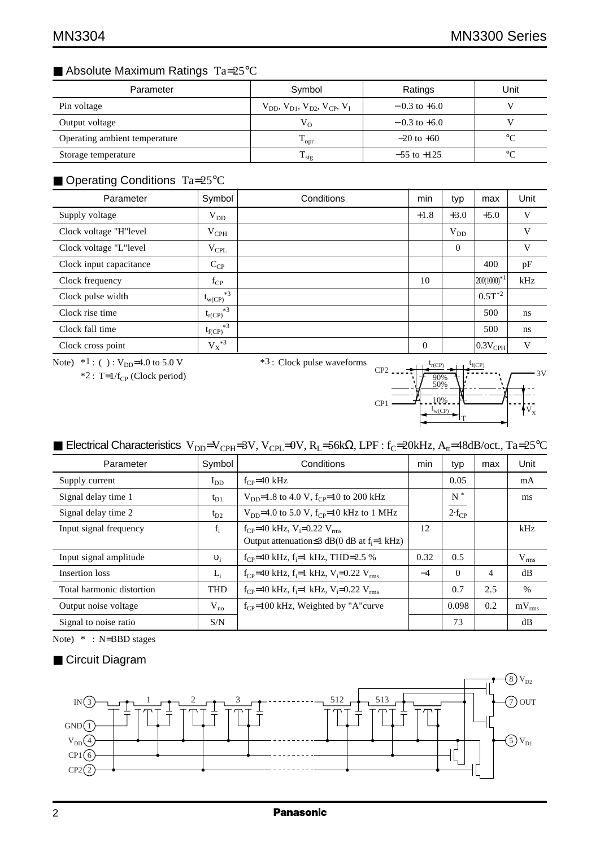# ■ Absolute Maximum Ratings Ta=25°C

| Parameter                     | Symbol                                              | Ratings          | Unit        |
|-------------------------------|-----------------------------------------------------|------------------|-------------|
| Pin voltage                   | $V_{DD}$ , $V_{D1}$ , $V_{D2}$ , $V_{CP}$ , $V_{L}$ | $-0.3$ to $+6.0$ |             |
| Output voltage                | $V_{O}$                                             | $-0.3$ to $+6.0$ |             |
| Operating ambient temperature | $\rm T_{\rm opr}$                                   | $-20$ to $+60$   | $^{\circ}C$ |
| Storage temperature           | $T_{\rm stg}$                                       | $-55$ to $+125$  | $^{\circ}C$ |

# ■ Operating Conditions Ta=25°C

| Parameter               | Symbol              | Conditions | min      | typ      | max                   | Unit |
|-------------------------|---------------------|------------|----------|----------|-----------------------|------|
| Supply voltage          | $V_{DD}$            |            | $+1.8$   | $+3.0$   | $+5.0$                | V    |
| Clock voltage "H"level  | $V_{\rm{CPH}}$      |            |          | $V_{DD}$ |                       | V    |
| Clock voltage "L"level  | $V_{\rm CPL}$       |            |          | $\Omega$ |                       | V    |
| Clock input capacitance | $C_{CP}$            |            |          |          | 400                   | pF   |
| Clock frequency         | $f_{CP}$            |            | 10       |          | $200(1000)^{*1}$      | kHz  |
| Clock pulse width       | $*3$<br>$t_{w(CP)}$ |            |          |          | $0.5T^{*2}$           |      |
| Clock rise time         | $*3$<br>$t_{r(CP)}$ |            |          |          | 500                   | ns   |
| Clock fall time         | $*3$<br>$t_{f(CP)}$ |            |          |          | 500                   | ns   |
| Clock cross point       | $\mathbf{V_X}^{*3}$ |            | $\theta$ |          | $ 0.3V_{\text{CPH}} $ | V    |

Note)  $*1$  : ( ) :  $V_{DD}$ =4.0 to 5.0 V

 $*2$ : T=1/f<sub>CP</sub> (Clock period)

\*3 : Clock pulse waveforms



# ■ Electrical Characteristics V<sub>DD</sub>=V<sub>CPH</sub>=3V, V<sub>CPL</sub>=0V, R<sub>L</sub>=56kΩ, LPF : f<sub>C</sub>=20kHz, A<sub>tt</sub>=48dB/oct., Ta=25°C

| Parameter                 | Symbol     | Conditions                                                                     | min  | typ        | max | Unit          |
|---------------------------|------------|--------------------------------------------------------------------------------|------|------------|-----|---------------|
| Supply current            | $I_{DD}$   | $f_{CP} = 40$ kHz                                                              |      | 0.05       |     | mA            |
| Signal delay time 1       | $t_{D1}$   | $V_{\text{DD}}=1.8$ to 4.0 V, f <sub>CP</sub> =10 to 200 kHz                   |      | $N^*$      |     | ms            |
| Signal delay time 2       | $t_{D2}$   | $V_{DD}$ =4.0 to 5.0 V, f <sub>CP</sub> =10 kHz to 1 MHz                       |      | $2-f_{CP}$ |     |               |
| Input signal frequency    | $f_i$      | $f_{CP}$ =40 kHz, V <sub>i</sub> =0.22 V <sub>rms</sub>                        | 12   |            |     | kHz           |
|                           |            | Output attenuation $\leq$ 3 dB(0 dB at f <sub>i</sub> =1 kHz)                  |      |            |     |               |
| Input signal amplitude    | $v_i$      | $f_{CP}$ =40 kHz, $f_i$ =1 kHz, THD=2.5 %                                      | 0.32 | 0.5        |     | $V_{rms}$     |
| Insertion loss            | $L_i$      | $f_{CP}$ =40 kHz, f <sub>i</sub> =1 kHz, V <sub>i</sub> =0.22 V <sub>rms</sub> | $-4$ | $\Omega$   | 4   | dB            |
| Total harmonic distortion | <b>THD</b> | $f_{CP}$ =40 kHz, $f_i$ =1 kHz, $V_i$ =0.22 $V_{rms}$                          |      | 0.7        | 2.5 | $\frac{0}{0}$ |
| Output noise voltage      | $V_{no}$   | $f_{CP}$ =100 kHz, Weighted by "A"curve                                        |      | 0.098      | 0.2 | $mV_{rms}$    |
| Signal to noise ratio     | S/N        |                                                                                |      | 73         |     | dB            |

Note) \* : N=BBD stages

#### ■ Circuit Diagram

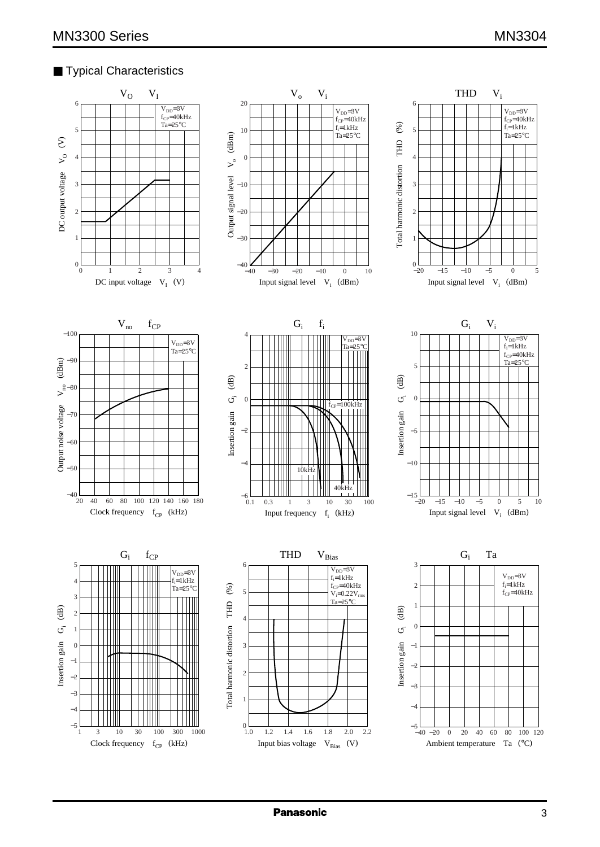## ■ Typical Characteristics

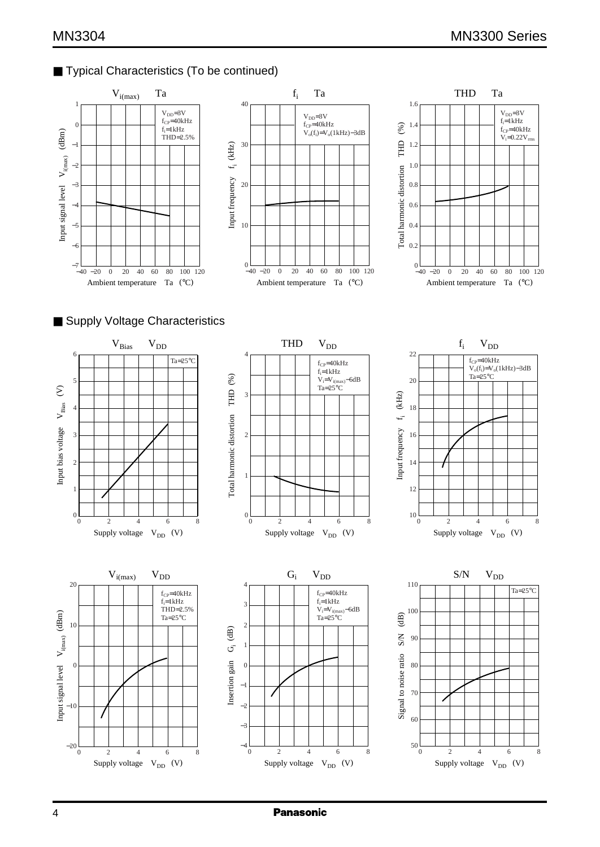# ■ Typical Characteristics (To be continued)